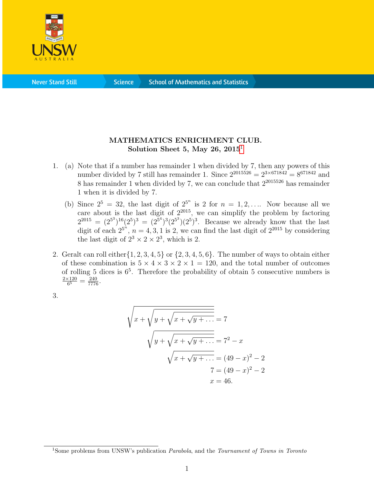

**Science** 

## MATHEMATICS ENRICHMENT CLUB. Solution Sheet 5, May 26,  $2015<sup>1</sup>$  $2015<sup>1</sup>$  $2015<sup>1</sup>$

- 1. (a) Note that if a number has remainder 1 when divided by 7, then any powers of this number divided by 7 still has remainder 1. Since  $2^{2015526} = 2^{3 \times 671842} = 8^{671842}$  and 8 has remainder 1 when divided by 7, we can conclude that  $2^{2015526}$  has remainder 1 when it is divided by 7.
	- (b) Since  $2^5 = 32$ , the last digit of  $2^{5^n}$  is 2 for  $n = 1, 2, \ldots$  Now because all we care about is the last digit of  $2^{2015}$ , we can simplify the problem by factoring  $2^{2015} = (2^{5^3})^{16}(2^5)^3 = (2^{5^4})^3(2^{5^3})(2^5)^3$ . Because we already know that the last digit of each  $2^{5^n}$ ,  $n = 4, 3, 1$  is 2, we can find the last digit of  $2^{2015}$  by considering the last digit of  $2^3 \times 2 \times 2^3$ , which is 2.
- 2. Geralt can roll either  $\{1, 2, 3, 4, 5\}$  or  $\{2, 3, 4, 5, 6\}$ . The number of ways to obtain either of these combination is  $5 \times 4 \times 3 \times 2 \times 1 = 120$ , and the total number of outcomes of rolling 5 dices is 6<sup>5</sup> . Therefore the probability of obtain 5 consecutive numbers is  $2\times120$  $\frac{120}{6^5} = \frac{240}{7776}.$
- 3.

$$
\sqrt{x + \sqrt{y + \sqrt{x + \sqrt{y + \dots}}}} = 7
$$
  

$$
\sqrt{y + \sqrt{x + \sqrt{y + \dots}}}} = 7^{2} - x
$$
  

$$
\sqrt{x + \sqrt{y + \dots}} = (49 - x)^{2} - 2
$$
  

$$
7 = (49 - x)^{2} - 2
$$
  

$$
x = 46.
$$

<span id="page-0-0"></span><sup>&</sup>lt;sup>1</sup>Some problems from UNSW's publication *Parabola*, and the *Tournament of Towns in Toronto*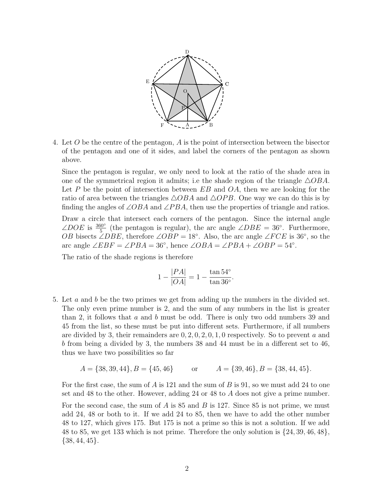

4. Let O be the centre of the pentagon, A is the point of intersection between the bisector of the pentagon and one of it sides, and label the corners of the pentagon as shown above.

Since the pentagon is regular, we only need to look at the ratio of the shade area in one of the symmetrical region it admits; i.e the shade region of the triangle  $\triangle OBA$ . Let P be the point of intersection between  $EB$  and  $OA$ , then we are looking for the ratio of area between the triangles  $\triangle OBA$  and  $\triangle OPB$ . One way we can do this is by finding the angles of  $\angle OBA$  and  $\angle PBA$ , then use the properties of triangle and ratios.

Draw a circle that intersect each corners of the pentagon. Since the internal angle  $\angle DOE$  is  $\frac{360^{\circ}}{5}$  (the pentagon is regular), the arc angle  $\angle DBE = 36^{\circ}$ . Furthermore, OB bisects ∠DBE, therefore  $\angle OBP = 18^\circ$ . Also, the arc angle  $\angle FCE$  is 36°, so the arc angle  $\angle EBF = \angle PBA = 36^\circ$ , hence  $\angle OBA = \angle PBA + \angle OBP = 54^\circ$ .

The ratio of the shade regions is therefore

$$
1 - \frac{|PA|}{|OA|} = 1 - \frac{\tan 54^{\circ}}{\tan 36^{\circ}}.
$$

5. Let a and b be the two primes we get from adding up the numbers in the divided set. The only even prime number is 2, and the sum of any numbers in the list is greater than 2, it follows that a and b must be odd. There is only two odd numbers 39 and 45 from the list, so these must be put into different sets. Furthermore, if all numbers are divided by 3, their remainders are  $0, 2, 0, 2, 0, 1, 0$  respectively. So to prevent a and b from being a divided by 3, the numbers 38 and 44 must be in a different set to 46, thus we have two possibilities so far

$$
A = \{38, 39, 44\}, B = \{45, 46\}
$$
 or  $A = \{39, 46\}, B = \{38, 44, 45\}.$ 

For the first case, the sum of A is 121 and the sum of B is 91, so we must add 24 to one set and 48 to the other. However, adding 24 or 48 to A does not give a prime number.

For the second case, the sum of  $A$  is 85 and  $B$  is 127. Since 85 is not prime, we must add 24, 48 or both to it. If we add 24 to 85, then we have to add the other number 48 to 127, which gives 175. But 175 is not a prime so this is not a solution. If we add 48 to 85, we get 133 which is not prime. Therefore the only solution is  $\{24, 39, 46, 48\}$ ,  $\{38, 44, 45\}.$